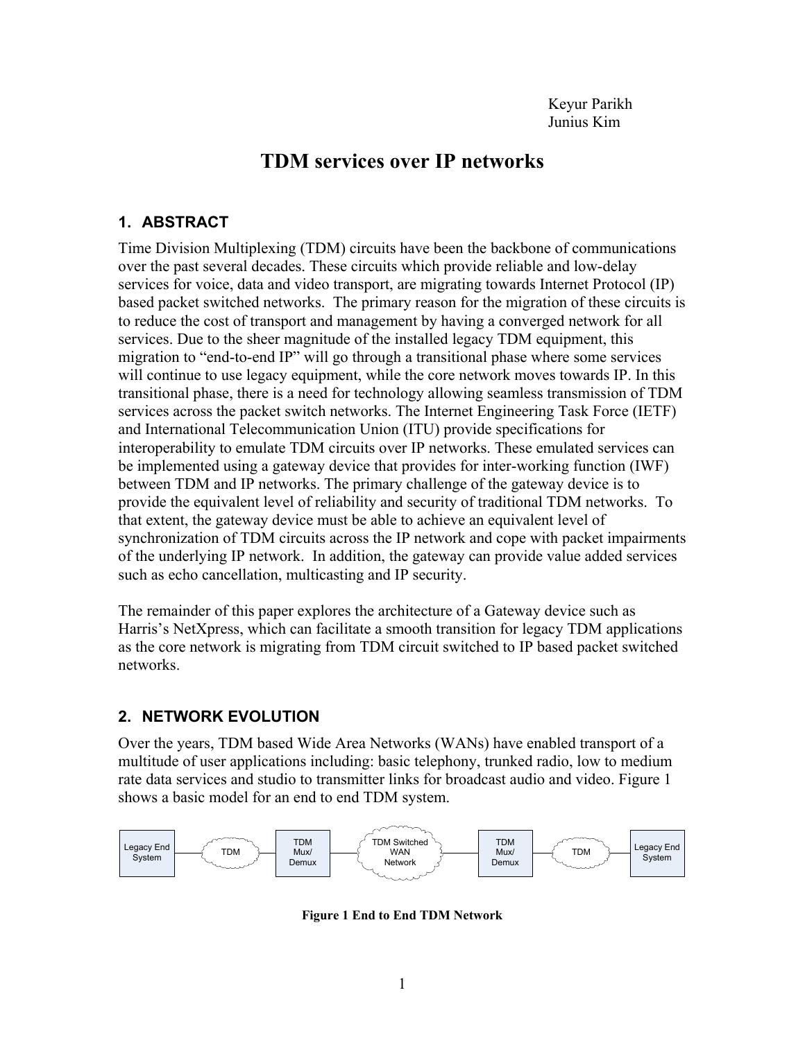# **TDM services over IP networks**

## **1. ABSTRACT**

Time Division Multiplexing (TDM) circuits have been the backbone of communications over the past several decades. These circuits which provide reliable and low-delay services for voice, data and video transport, are migrating towards Internet Protocol (IP) based packet switched networks. The primary reason for the migration of these circuits is to reduce the cost of transport and management by having a converged network for all services. Due to the sheer magnitude of the installed legacy TDM equipment, this migration to "end-to-end IP" will go through a transitional phase where some services will continue to use legacy equipment, while the core network moves towards IP. In this transitional phase, there is a need for technology allowing seamless transmission of TDM services across the packet switch networks. The Internet Engineering Task Force (IETF) and International Telecommunication Union (ITU) provide specifications for interoperability to emulate TDM circuits over IP networks. These emulated services can be implemented using a gateway device that provides for inter-working function (IWF) between TDM and IP networks. The primary challenge of the gateway device is to provide the equivalent level of reliability and security of traditional TDM networks. To that extent, the gateway device must be able to achieve an equivalent level of synchronization of TDM circuits across the IP network and cope with packet impairments of the underlying IP network. In addition, the gateway can provide value added services such as echo cancellation, multicasting and IP security.

The remainder of this paper explores the architecture of a Gateway device such as Harris's NetXpress, which can facilitate a smooth transition for legacy TDM applications as the core network is migrating from TDM circuit switched to IP based packet switched networks.

## **2. NETWORK EVOLUTION**

Over the years, TDM based Wide Area Networks (WANs) have enabled transport of a multitude of user applications including: basic telephony, trunked radio, low to medium rate data services and studio to transmitter links for broadcast audio and video. Figure 1 shows a basic model for an end to end TDM system.



**Figure 1 End to End TDM Network**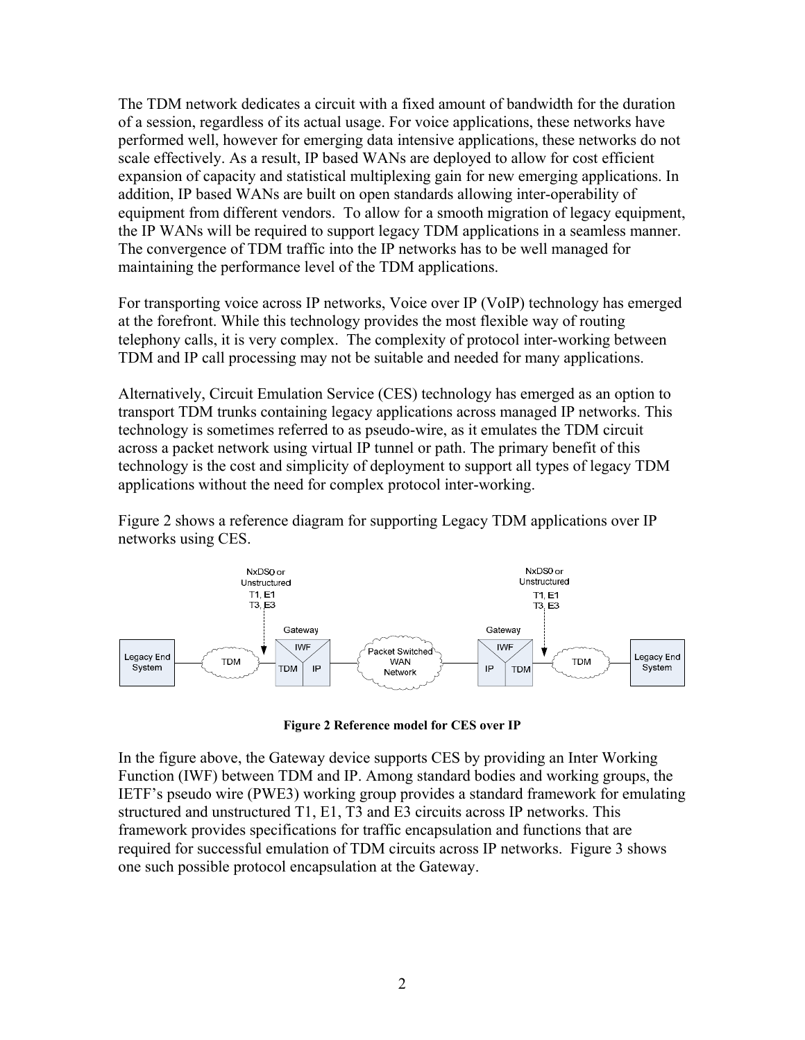The TDM network dedicates a circuit with a fixed amount of bandwidth for the duration of a session, regardless of its actual usage. For voice applications, these networks have performed well, however for emerging data intensive applications, these networks do not scale effectively. As a result, IP based WANs are deployed to allow for cost efficient expansion of capacity and statistical multiplexing gain for new emerging applications. In addition, IP based WANs are built on open standards allowing inter-operability of equipment from different vendors. To allow for a smooth migration of legacy equipment, the IP WANs will be required to support legacy TDM applications in a seamless manner. The convergence of TDM traffic into the IP networks has to be well managed for maintaining the performance level of the TDM applications.

For transporting voice across IP networks, Voice over IP (VoIP) technology has emerged at the forefront. While this technology provides the most flexible way of routing telephony calls, it is very complex. The complexity of protocol inter-working between TDM and IP call processing may not be suitable and needed for many applications.

Alternatively, Circuit Emulation Service (CES) technology has emerged as an option to transport TDM trunks containing legacy applications across managed IP networks. This technology is sometimes referred to as pseudo-wire, as it emulates the TDM circuit across a packet network using virtual IP tunnel or path. The primary benefit of this technology is the cost and simplicity of deployment to support all types of legacy TDM applications without the need for complex protocol inter-working.

Figure 2 shows a reference diagram for supporting Legacy TDM applications over IP networks using CES.



**Figure 2 Reference model for CES over IP** 

In the figure above, the Gateway device supports CES by providing an Inter Working Function (IWF) between TDM and IP. Among standard bodies and working groups, the IETF's pseudo wire (PWE3) working group provides a standard framework for emulating structured and unstructured T1, E1, T3 and E3 circuits across IP networks. This framework provides specifications for traffic encapsulation and functions that are required for successful emulation of TDM circuits across IP networks. Figure 3 shows one such possible protocol encapsulation at the Gateway.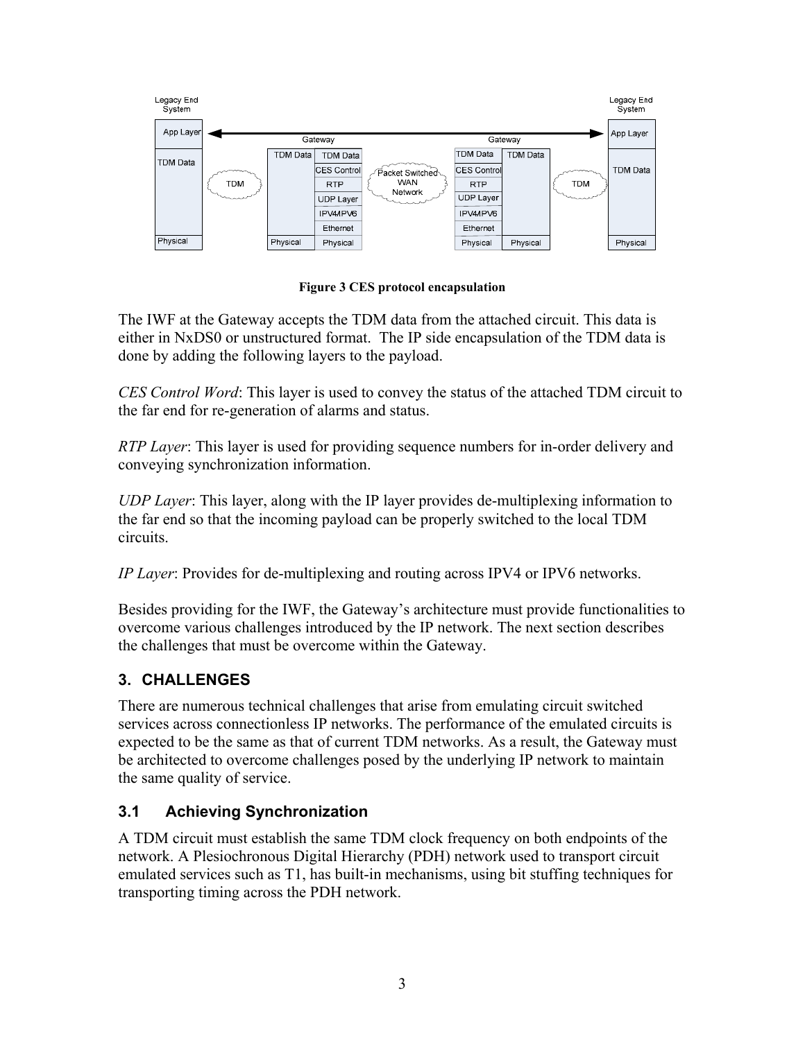

**Figure 3 CES protocol encapsulation** 

The IWF at the Gateway accepts the TDM data from the attached circuit. This data is either in NxDS0 or unstructured format. The IP side encapsulation of the TDM data is done by adding the following layers to the payload.

*CES Control Word*: This layer is used to convey the status of the attached TDM circuit to the far end for re-generation of alarms and status.

*RTP Layer*: This layer is used for providing sequence numbers for in-order delivery and conveying synchronization information.

*UDP Layer*: This layer, along with the IP layer provides de-multiplexing information to the far end so that the incoming payload can be properly switched to the local TDM circuits.

*IP Layer*: Provides for de-multiplexing and routing across IPV4 or IPV6 networks.

Besides providing for the IWF, the Gateway's architecture must provide functionalities to overcome various challenges introduced by the IP network. The next section describes the challenges that must be overcome within the Gateway.

## **3. CHALLENGES**

There are numerous technical challenges that arise from emulating circuit switched services across connectionless IP networks. The performance of the emulated circuits is expected to be the same as that of current TDM networks. As a result, the Gateway must be architected to overcome challenges posed by the underlying IP network to maintain the same quality of service.

## **3.1 Achieving Synchronization**

A TDM circuit must establish the same TDM clock frequency on both endpoints of the network. A Plesiochronous Digital Hierarchy (PDH) network used to transport circuit emulated services such as T1, has built-in mechanisms, using bit stuffing techniques for transporting timing across the PDH network.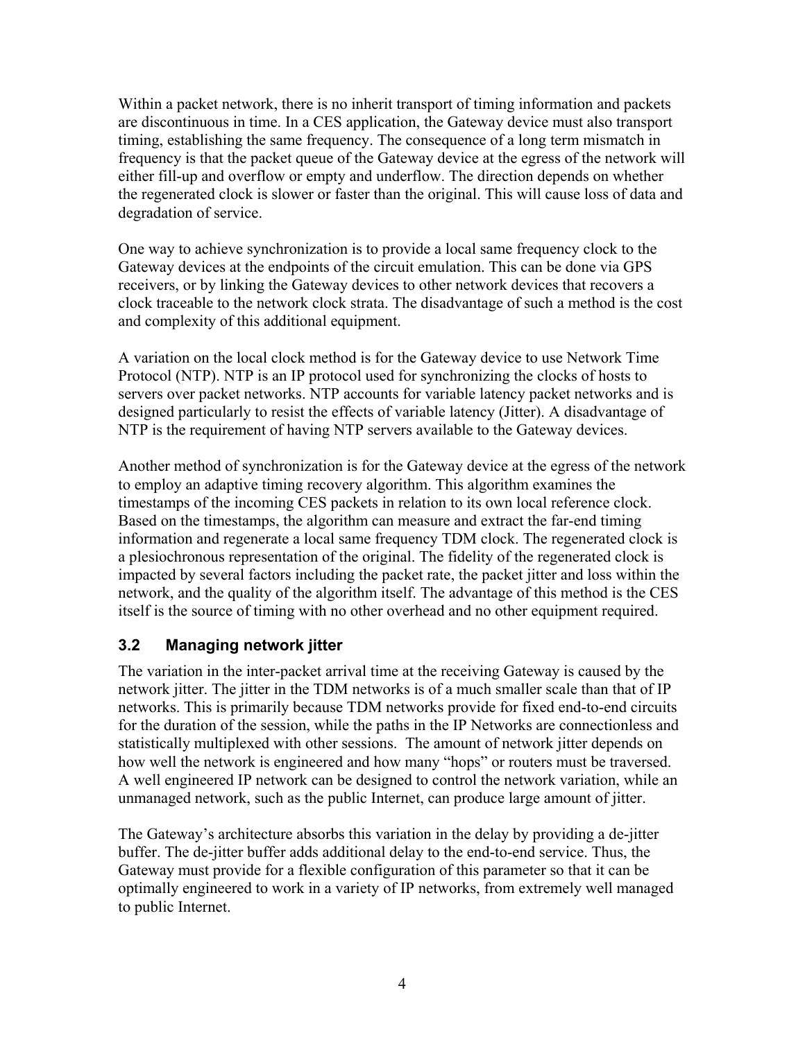Within a packet network, there is no inherit transport of timing information and packets are discontinuous in time. In a CES application, the Gateway device must also transport timing, establishing the same frequency. The consequence of a long term mismatch in frequency is that the packet queue of the Gateway device at the egress of the network will either fill-up and overflow or empty and underflow. The direction depends on whether the regenerated clock is slower or faster than the original. This will cause loss of data and degradation of service.

One way to achieve synchronization is to provide a local same frequency clock to the Gateway devices at the endpoints of the circuit emulation. This can be done via GPS receivers, or by linking the Gateway devices to other network devices that recovers a clock traceable to the network clock strata. The disadvantage of such a method is the cost and complexity of this additional equipment.

A variation on the local clock method is for the Gateway device to use Network Time Protocol (NTP). NTP is an IP protocol used for synchronizing the clocks of hosts to servers over packet networks. NTP accounts for variable latency packet networks and is designed particularly to resist the effects of variable latency (Jitter). A disadvantage of NTP is the requirement of having NTP servers available to the Gateway devices.

Another method of synchronization is for the Gateway device at the egress of the network to employ an adaptive timing recovery algorithm. This algorithm examines the timestamps of the incoming CES packets in relation to its own local reference clock. Based on the timestamps, the algorithm can measure and extract the far-end timing information and regenerate a local same frequency TDM clock. The regenerated clock is a plesiochronous representation of the original. The fidelity of the regenerated clock is impacted by several factors including the packet rate, the packet jitter and loss within the network, and the quality of the algorithm itself. The advantage of this method is the CES itself is the source of timing with no other overhead and no other equipment required.

## **3.2 Managing network jitter**

The variation in the inter-packet arrival time at the receiving Gateway is caused by the network jitter. The jitter in the TDM networks is of a much smaller scale than that of IP networks. This is primarily because TDM networks provide for fixed end-to-end circuits for the duration of the session, while the paths in the IP Networks are connectionless and statistically multiplexed with other sessions. The amount of network jitter depends on how well the network is engineered and how many "hops" or routers must be traversed. A well engineered IP network can be designed to control the network variation, while an unmanaged network, such as the public Internet, can produce large amount of jitter.

The Gateway's architecture absorbs this variation in the delay by providing a de-jitter buffer. The de-jitter buffer adds additional delay to the end-to-end service. Thus, the Gateway must provide for a flexible configuration of this parameter so that it can be optimally engineered to work in a variety of IP networks, from extremely well managed to public Internet.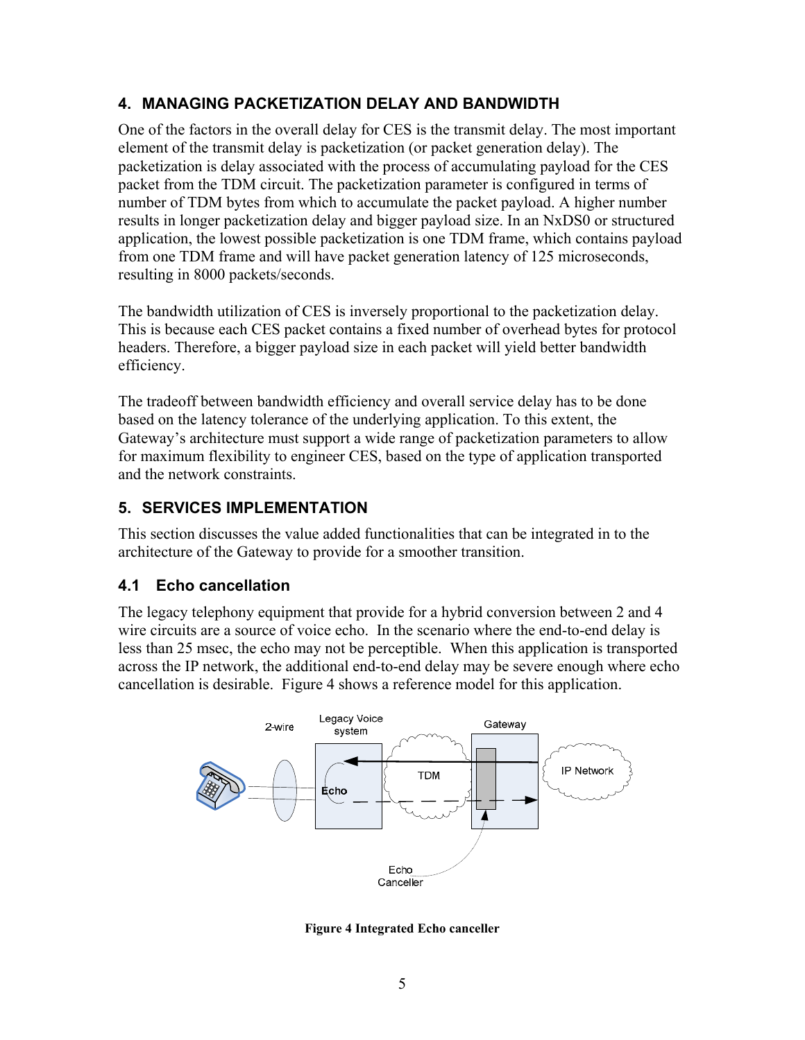#### **4. MANAGING PACKETIZATION DELAY AND BANDWIDTH**

One of the factors in the overall delay for CES is the transmit delay. The most important element of the transmit delay is packetization (or packet generation delay). The packetization is delay associated with the process of accumulating payload for the CES packet from the TDM circuit. The packetization parameter is configured in terms of number of TDM bytes from which to accumulate the packet payload. A higher number results in longer packetization delay and bigger payload size. In an NxDS0 or structured application, the lowest possible packetization is one TDM frame, which contains payload from one TDM frame and will have packet generation latency of 125 microseconds, resulting in 8000 packets/seconds.

The bandwidth utilization of CES is inversely proportional to the packetization delay. This is because each CES packet contains a fixed number of overhead bytes for protocol headers. Therefore, a bigger payload size in each packet will yield better bandwidth efficiency.

The tradeoff between bandwidth efficiency and overall service delay has to be done based on the latency tolerance of the underlying application. To this extent, the Gateway's architecture must support a wide range of packetization parameters to allow for maximum flexibility to engineer CES, based on the type of application transported and the network constraints.

#### **5. SERVICES IMPLEMENTATION**

This section discusses the value added functionalities that can be integrated in to the architecture of the Gateway to provide for a smoother transition.

#### **4.1 Echo cancellation**

The legacy telephony equipment that provide for a hybrid conversion between 2 and 4 wire circuits are a source of voice echo. In the scenario where the end-to-end delay is less than 25 msec, the echo may not be perceptible. When this application is transported across the IP network, the additional end-to-end delay may be severe enough where echo cancellation is desirable. Figure 4 shows a reference model for this application.



**Figure 4 Integrated Echo canceller**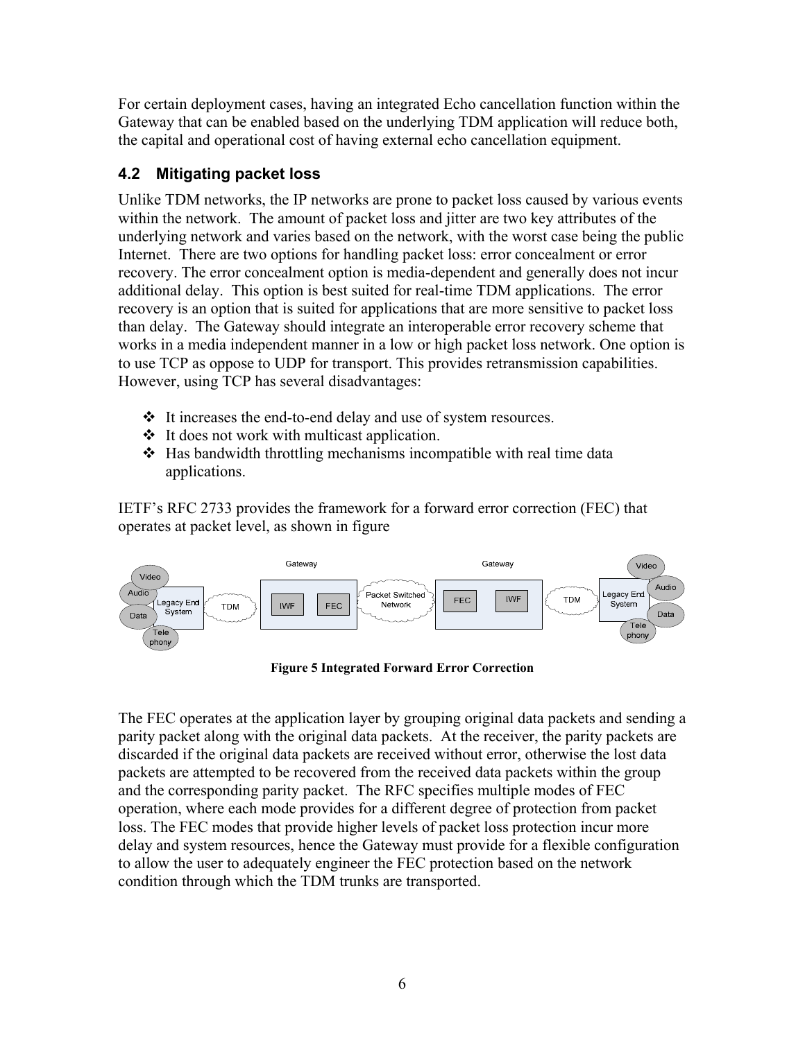For certain deployment cases, having an integrated Echo cancellation function within the Gateway that can be enabled based on the underlying TDM application will reduce both, the capital and operational cost of having external echo cancellation equipment.

## **4.2 Mitigating packet loss**

Unlike TDM networks, the IP networks are prone to packet loss caused by various events within the network. The amount of packet loss and jitter are two key attributes of the underlying network and varies based on the network, with the worst case being the public Internet. There are two options for handling packet loss: error concealment or error recovery. The error concealment option is media-dependent and generally does not incur additional delay. This option is best suited for real-time TDM applications. The error recovery is an option that is suited for applications that are more sensitive to packet loss than delay. The Gateway should integrate an interoperable error recovery scheme that works in a media independent manner in a low or high packet loss network. One option is to use TCP as oppose to UDP for transport. This provides retransmission capabilities. However, using TCP has several disadvantages:

- It increases the end-to-end delay and use of system resources.
- $\triangleq$  It does not work with multicast application.
- $\triangleleft$  Has bandwidth throttling mechanisms incompatible with real time data applications.

IETF's RFC 2733 provides the framework for a forward error correction (FEC) that operates at packet level, as shown in figure



**Figure 5 Integrated Forward Error Correction** 

The FEC operates at the application layer by grouping original data packets and sending a parity packet along with the original data packets. At the receiver, the parity packets are discarded if the original data packets are received without error, otherwise the lost data packets are attempted to be recovered from the received data packets within the group and the corresponding parity packet. The RFC specifies multiple modes of FEC operation, where each mode provides for a different degree of protection from packet loss. The FEC modes that provide higher levels of packet loss protection incur more delay and system resources, hence the Gateway must provide for a flexible configuration to allow the user to adequately engineer the FEC protection based on the network condition through which the TDM trunks are transported.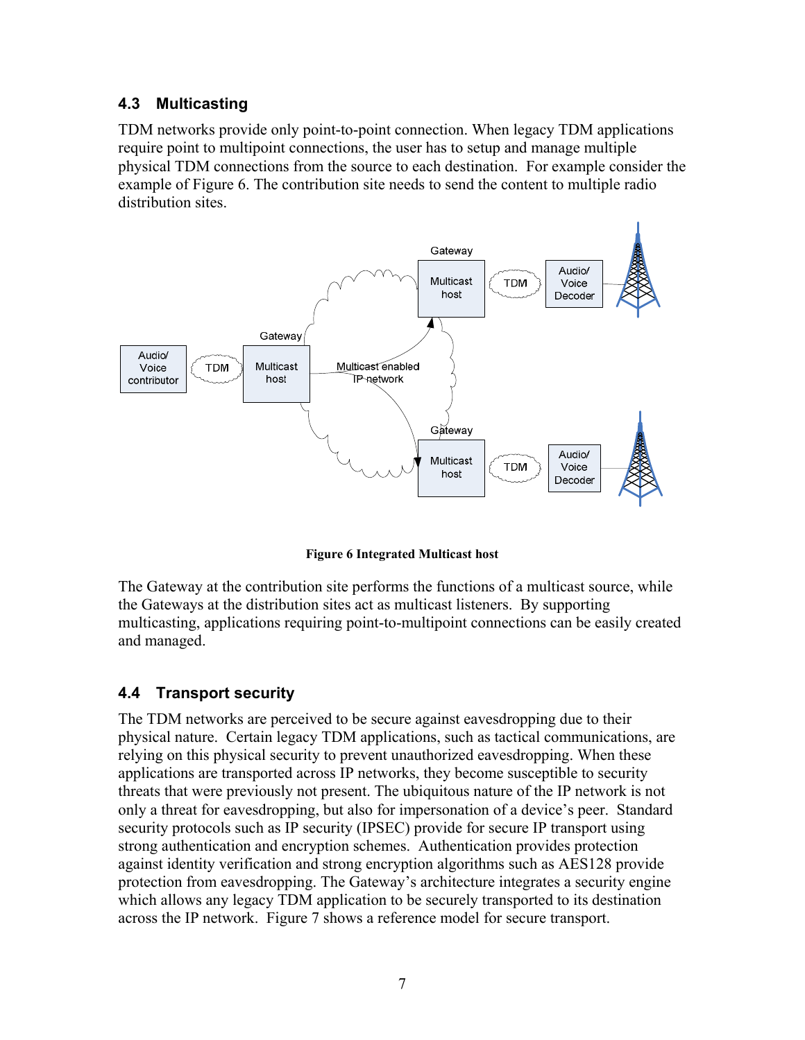#### **4.3 Multicasting**

TDM networks provide only point-to-point connection. When legacy TDM applications require point to multipoint connections, the user has to setup and manage multiple physical TDM connections from the source to each destination. For example consider the example of Figure 6. The contribution site needs to send the content to multiple radio distribution sites.



**Figure 6 Integrated Multicast host** 

The Gateway at the contribution site performs the functions of a multicast source, while the Gateways at the distribution sites act as multicast listeners. By supporting multicasting, applications requiring point-to-multipoint connections can be easily created and managed.

#### **4.4 Transport security**

The TDM networks are perceived to be secure against eavesdropping due to their physical nature. Certain legacy TDM applications, such as tactical communications, are relying on this physical security to prevent unauthorized eavesdropping. When these applications are transported across IP networks, they become susceptible to security threats that were previously not present. The ubiquitous nature of the IP network is not only a threat for eavesdropping, but also for impersonation of a device's peer. Standard security protocols such as IP security (IPSEC) provide for secure IP transport using strong authentication and encryption schemes. Authentication provides protection against identity verification and strong encryption algorithms such as AES128 provide protection from eavesdropping. The Gateway's architecture integrates a security engine which allows any legacy TDM application to be securely transported to its destination across the IP network. Figure 7 shows a reference model for secure transport.